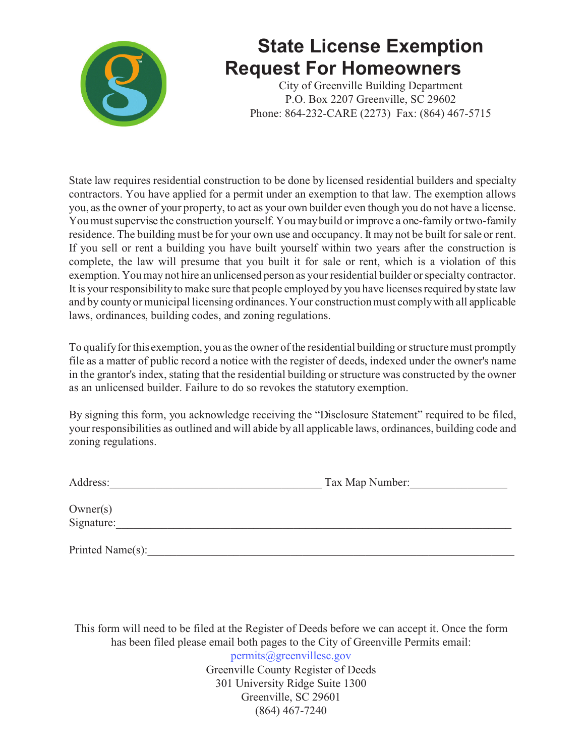

## **State License Exemption Request For Homeowners**

City of Greenville Building Department P.O. Box 2207 Greenville, SC 29602 Phone: 864-232-CARE (2273) Fax: (864) 467-5715

State law requires residential construction to be done by licensed residential builders and specialty contractors. You have applied for a permit under an exemption to that law. The exemption allows you, as the owner of your property, to act as your own builder even though you do not have a license. You must supervise the construction yourself. You may build or improve a one-family or two-family residence. The building must be for your own use and occupancy. It may not be built for sale or rent. If you sell or rent a building you have built yourself within two years after the construction is complete, the law will presume that you built it for sale or rent, which is a violation of this exemption. You may not hire an unlicensed person as your residential builder or specialty contractor. It is your responsibility to make sure that people employed by you have licenses required by state law and by county or municipal licensing ordinances. Your construction must comply with all applicable laws, ordinances, building codes, and zoning regulations.

To qualify for this exemption, you as the owner of the residential building or structure must promptly file as a matter of public record a notice with the register of deeds, indexed under the owner's name in the grantor's index, stating that the residential building or structure was constructed by the owner as an unlicensed builder. Failure to do so revokes the statutory exemption.

By signing this form, you acknowledge receiving the "Disclosure Statement" required to be filed, your responsibilities as outlined and will abide by all applicable laws, ordinances, building code and zoning regulations.

| Address: | Tax Map Number: |
|----------|-----------------|
|          |                 |
| $\sim$   |                 |

Owner(s) Signature:

Printed Name(s):

This form will need to be filed at the Register of Deeds before we can accept it. Once the form has been filed please email both pages to the City of Greenville Permits email: permits@greenvillesc.gov

Greenville County Register of Deeds 301 University Ridge Suite 1300 Greenville, SC 29601 (864) 467-7240